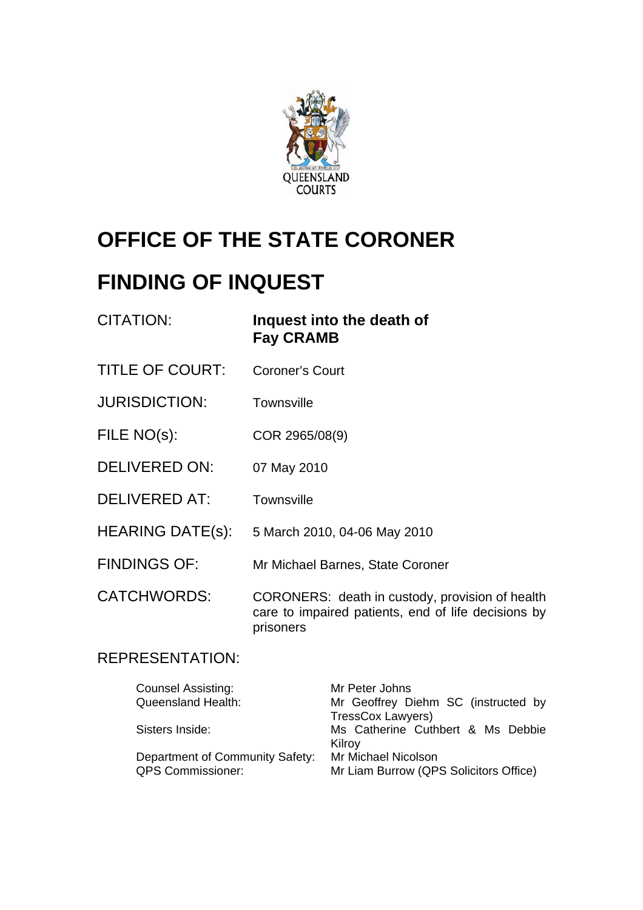

# **OFFICE OF THE STATE CORONER**

# **FINDING OF INQUEST**

| CITATION:               | Inquest into the death of<br><b>Fay CRAMB</b>                                                                       |
|-------------------------|---------------------------------------------------------------------------------------------------------------------|
| <b>TITLE OF COURT:</b>  | <b>Coroner's Court</b>                                                                                              |
| <b>JURISDICTION:</b>    | <b>Townsville</b>                                                                                                   |
| FILE NO(s):             | COR 2965/08(9)                                                                                                      |
| <b>DELIVERED ON:</b>    | 07 May 2010                                                                                                         |
| <b>DELIVERED AT:</b>    | <b>Townsville</b>                                                                                                   |
| <b>HEARING DATE(s):</b> | 5 March 2010, 04-06 May 2010                                                                                        |
| <b>FINDINGS OF:</b>     | Mr Michael Barnes, State Coroner                                                                                    |
| <b>CATCHWORDS:</b>      | CORONERS: death in custody, provision of health<br>care to impaired patients, end of life decisions by<br>prisoners |

# REPRESENTATION:

| <b>Counsel Assisting:</b>       | Mr Peter Johns                         |
|---------------------------------|----------------------------------------|
| <b>Queensland Health:</b>       | Mr Geoffrey Diehm SC (instructed by    |
|                                 | <b>TressCox Lawyers)</b>               |
| Sisters Inside:                 | Ms Catherine Cuthbert & Ms Debbie      |
|                                 | Kilroy                                 |
| Department of Community Safety: | Mr Michael Nicolson                    |
| <b>QPS Commissioner:</b>        | Mr Liam Burrow (QPS Solicitors Office) |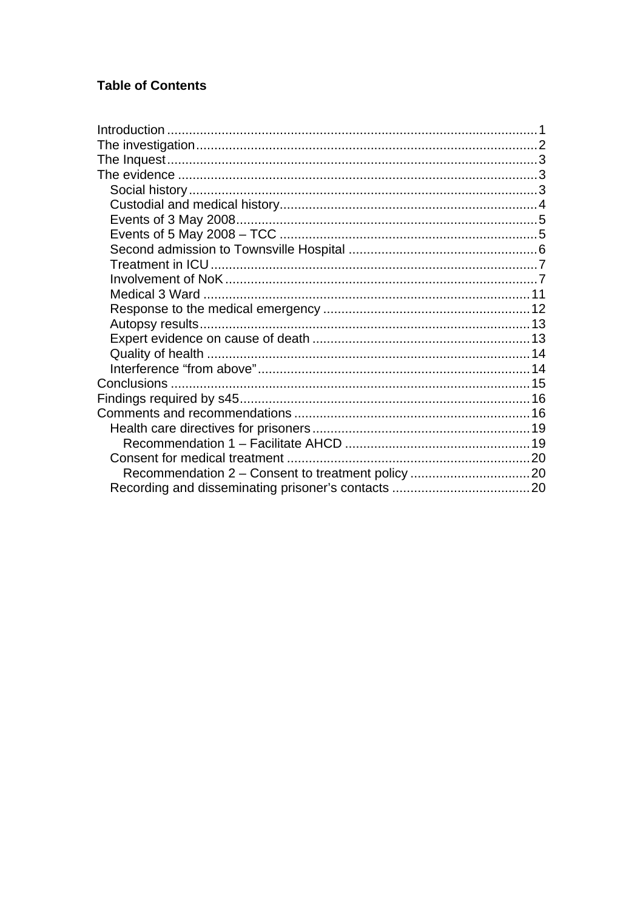# **Table of Contents**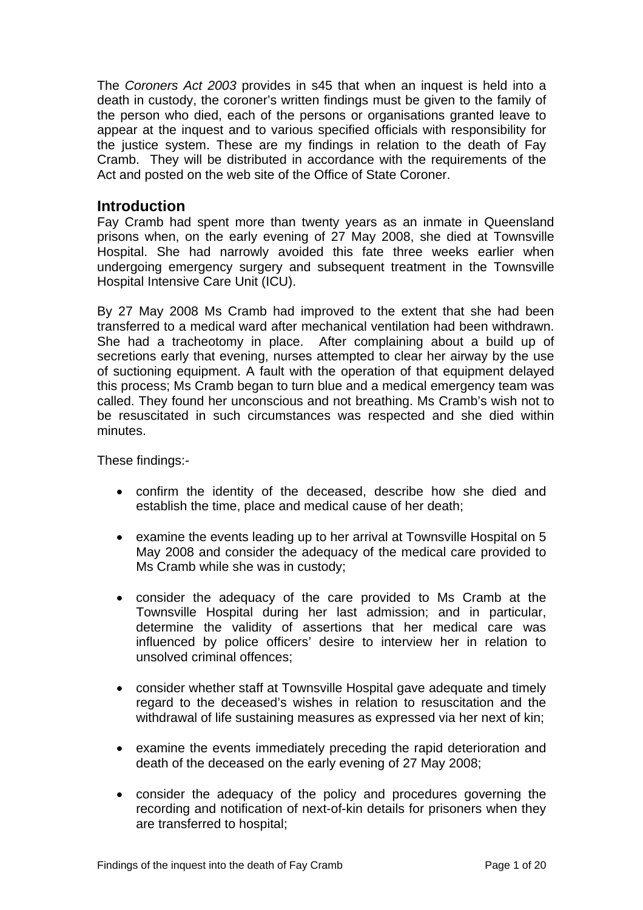<span id="page-2-0"></span>The *Coroners Act 2003* provides in s45 that when an inquest is held into a death in custody, the coroner's written findings must be given to the family of the person who died, each of the persons or organisations granted leave to appear at the inquest and to various specified officials with responsibility for the justice system. These are my findings in relation to the death of Fay Cramb. They will be distributed in accordance with the requirements of the Act and posted on the web site of the Office of State Coroner.

#### **Introduction**

Fay Cramb had spent more than twenty years as an inmate in Queensland prisons when, on the early evening of 27 May 2008, she died at Townsville Hospital. She had narrowly avoided this fate three weeks earlier when undergoing emergency surgery and subsequent treatment in the Townsville Hospital Intensive Care Unit (ICU).

By 27 May 2008 Ms Cramb had improved to the extent that she had been transferred to a medical ward after mechanical ventilation had been withdrawn. She had a tracheotomy in place. After complaining about a build up of secretions early that evening, nurses attempted to clear her airway by the use of suctioning equipment. A fault with the operation of that equipment delayed this process; Ms Cramb began to turn blue and a medical emergency team was called. They found her unconscious and not breathing. Ms Cramb's wish not to be resuscitated in such circumstances was respected and she died within minutes.

These findings:-

- confirm the identity of the deceased, describe how she died and establish the time, place and medical cause of her death;
- examine the events leading up to her arrival at Townsville Hospital on 5 May 2008 and consider the adequacy of the medical care provided to Ms Cramb while she was in custody;
- consider the adequacy of the care provided to Ms Cramb at the Townsville Hospital during her last admission; and in particular, determine the validity of assertions that her medical care was influenced by police officers' desire to interview her in relation to unsolved criminal offences;
- consider whether staff at Townsville Hospital gave adequate and timely regard to the deceased's wishes in relation to resuscitation and the withdrawal of life sustaining measures as expressed via her next of kin;
- examine the events immediately preceding the rapid deterioration and death of the deceased on the early evening of 27 May 2008;
- consider the adequacy of the policy and procedures governing the recording and notification of next-of-kin details for prisoners when they are transferred to hospital;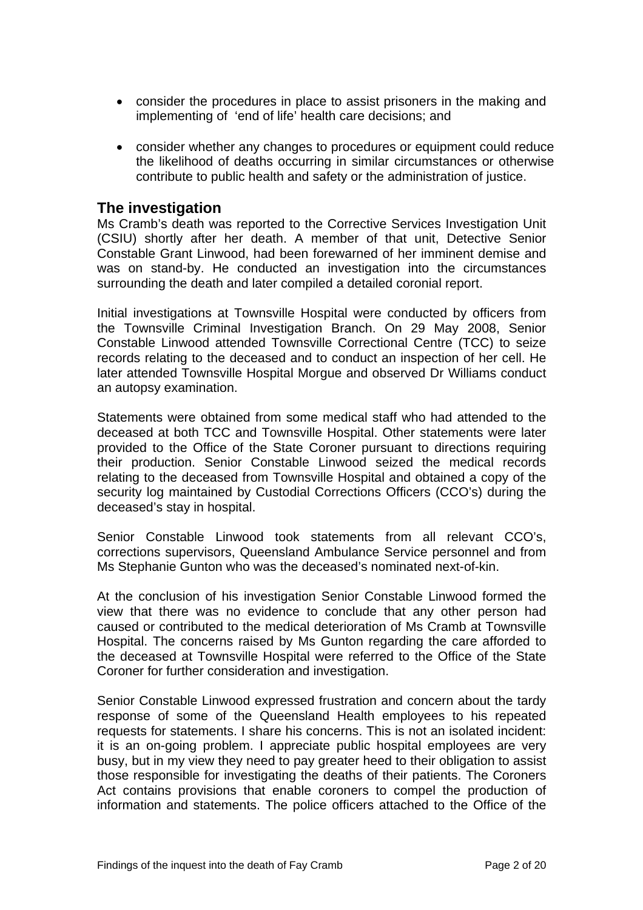- <span id="page-3-0"></span>• consider the procedures in place to assist prisoners in the making and implementing of 'end of life' health care decisions; and
- consider whether any changes to procedures or equipment could reduce the likelihood of deaths occurring in similar circumstances or otherwise contribute to public health and safety or the administration of justice.

#### **The investigation**

Ms Cramb's death was reported to the Corrective Services Investigation Unit (CSIU) shortly after her death. A member of that unit, Detective Senior Constable Grant Linwood, had been forewarned of her imminent demise and was on stand-by. He conducted an investigation into the circumstances surrounding the death and later compiled a detailed coronial report.

Initial investigations at Townsville Hospital were conducted by officers from the Townsville Criminal Investigation Branch. On 29 May 2008, Senior Constable Linwood attended Townsville Correctional Centre (TCC) to seize records relating to the deceased and to conduct an inspection of her cell. He later attended Townsville Hospital Morgue and observed Dr Williams conduct an autopsy examination.

Statements were obtained from some medical staff who had attended to the deceased at both TCC and Townsville Hospital. Other statements were later provided to the Office of the State Coroner pursuant to directions requiring their production. Senior Constable Linwood seized the medical records relating to the deceased from Townsville Hospital and obtained a copy of the security log maintained by Custodial Corrections Officers (CCO's) during the deceased's stay in hospital.

Senior Constable Linwood took statements from all relevant CCO's, corrections supervisors, Queensland Ambulance Service personnel and from Ms Stephanie Gunton who was the deceased's nominated next-of-kin.

At the conclusion of his investigation Senior Constable Linwood formed the view that there was no evidence to conclude that any other person had caused or contributed to the medical deterioration of Ms Cramb at Townsville Hospital. The concerns raised by Ms Gunton regarding the care afforded to the deceased at Townsville Hospital were referred to the Office of the State Coroner for further consideration and investigation.

Senior Constable Linwood expressed frustration and concern about the tardy response of some of the Queensland Health employees to his repeated requests for statements. I share his concerns. This is not an isolated incident: it is an on-going problem. I appreciate public hospital employees are very busy, but in my view they need to pay greater heed to their obligation to assist those responsible for investigating the deaths of their patients. The Coroners Act contains provisions that enable coroners to compel the production of information and statements. The police officers attached to the Office of the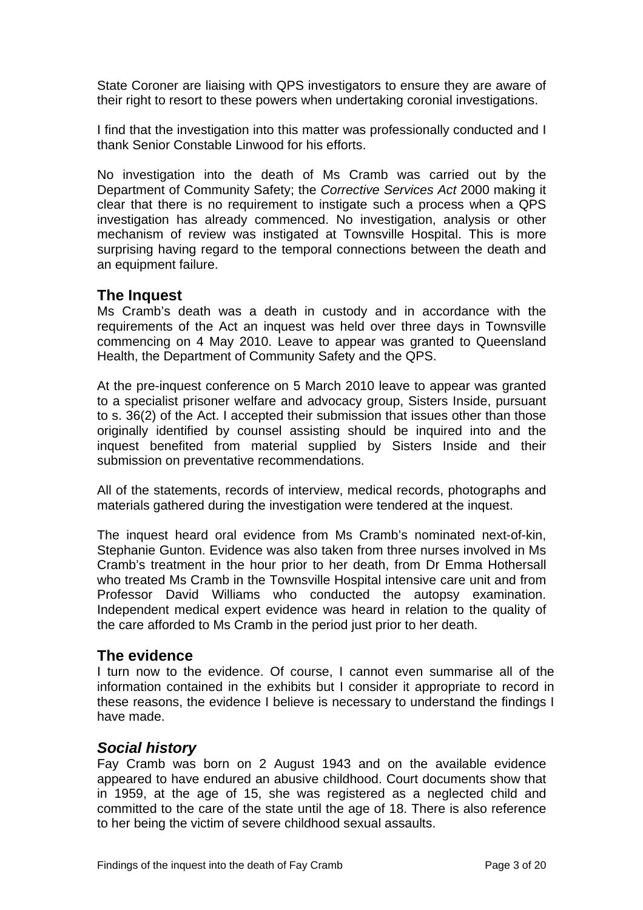<span id="page-4-0"></span>State Coroner are liaising with QPS investigators to ensure they are aware of their right to resort to these powers when undertaking coronial investigations.

I find that the investigation into this matter was professionally conducted and I thank Senior Constable Linwood for his efforts.

No investigation into the death of Ms Cramb was carried out by the Department of Community Safety; the *Corrective Services Act* 2000 making it clear that there is no requirement to instigate such a process when a QPS investigation has already commenced. No investigation, analysis or other mechanism of review was instigated at Townsville Hospital. This is more surprising having regard to the temporal connections between the death and an equipment failure.

#### **The Inquest**

Ms Cramb's death was a death in custody and in accordance with the requirements of the Act an inquest was held over three days in Townsville commencing on 4 May 2010. Leave to appear was granted to Queensland Health, the Department of Community Safety and the QPS.

At the pre-inquest conference on 5 March 2010 leave to appear was granted to a specialist prisoner welfare and advocacy group, Sisters Inside, pursuant to s. 36(2) of the Act. I accepted their submission that issues other than those originally identified by counsel assisting should be inquired into and the inquest benefited from material supplied by Sisters Inside and their submission on preventative recommendations.

All of the statements, records of interview, medical records, photographs and materials gathered during the investigation were tendered at the inquest.

The inquest heard oral evidence from Ms Cramb's nominated next-of-kin, Stephanie Gunton. Evidence was also taken from three nurses involved in Ms Cramb's treatment in the hour prior to her death, from Dr Emma Hothersall who treated Ms Cramb in the Townsville Hospital intensive care unit and from Professor David Williams who conducted the autopsy examination. Independent medical expert evidence was heard in relation to the quality of the care afforded to Ms Cramb in the period just prior to her death.

#### **The evidence**

I turn now to the evidence. Of course, I cannot even summarise all of the information contained in the exhibits but I consider it appropriate to record in these reasons, the evidence I believe is necessary to understand the findings I have made.

#### *Social history*

Fay Cramb was born on 2 August 1943 and on the available evidence appeared to have endured an abusive childhood. Court documents show that in 1959, at the age of 15, she was registered as a neglected child and committed to the care of the state until the age of 18. There is also reference to her being the victim of severe childhood sexual assaults.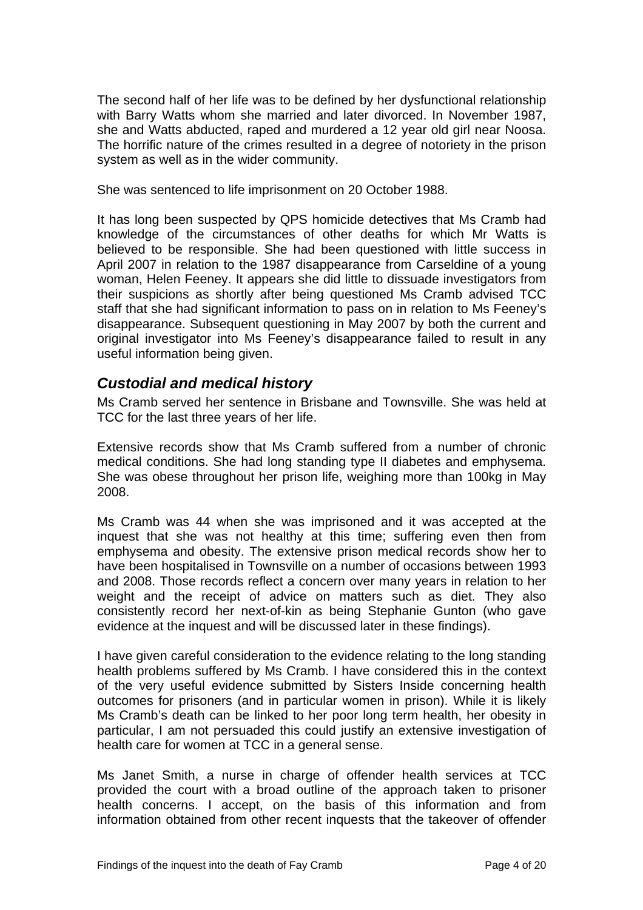<span id="page-5-0"></span>The second half of her life was to be defined by her dysfunctional relationship with Barry Watts whom she married and later divorced. In November 1987, she and Watts abducted, raped and murdered a 12 year old girl near Noosa. The horrific nature of the crimes resulted in a degree of notoriety in the prison system as well as in the wider community.

She was sentenced to life imprisonment on 20 October 1988.

It has long been suspected by QPS homicide detectives that Ms Cramb had knowledge of the circumstances of other deaths for which Mr Watts is believed to be responsible. She had been questioned with little success in April 2007 in relation to the 1987 disappearance from Carseldine of a young woman, Helen Feeney. It appears she did little to dissuade investigators from their suspicions as shortly after being questioned Ms Cramb advised TCC staff that she had significant information to pass on in relation to Ms Feeney's disappearance. Subsequent questioning in May 2007 by both the current and original investigator into Ms Feeney's disappearance failed to result in any useful information being given.

## *Custodial and medical history*

Ms Cramb served her sentence in Brisbane and Townsville. She was held at TCC for the last three years of her life.

Extensive records show that Ms Cramb suffered from a number of chronic medical conditions. She had long standing type II diabetes and emphysema. She was obese throughout her prison life, weighing more than 100kg in May 2008.

Ms Cramb was 44 when she was imprisoned and it was accepted at the inquest that she was not healthy at this time; suffering even then from emphysema and obesity. The extensive prison medical records show her to have been hospitalised in Townsville on a number of occasions between 1993 and 2008. Those records reflect a concern over many years in relation to her weight and the receipt of advice on matters such as diet. They also consistently record her next-of-kin as being Stephanie Gunton (who gave evidence at the inquest and will be discussed later in these findings).

I have given careful consideration to the evidence relating to the long standing health problems suffered by Ms Cramb. I have considered this in the context of the very useful evidence submitted by Sisters Inside concerning health outcomes for prisoners (and in particular women in prison). While it is likely Ms Cramb's death can be linked to her poor long term health, her obesity in particular, I am not persuaded this could justify an extensive investigation of health care for women at TCC in a general sense.

Ms Janet Smith, a nurse in charge of offender health services at TCC provided the court with a broad outline of the approach taken to prisoner health concerns. I accept, on the basis of this information and from information obtained from other recent inquests that the takeover of offender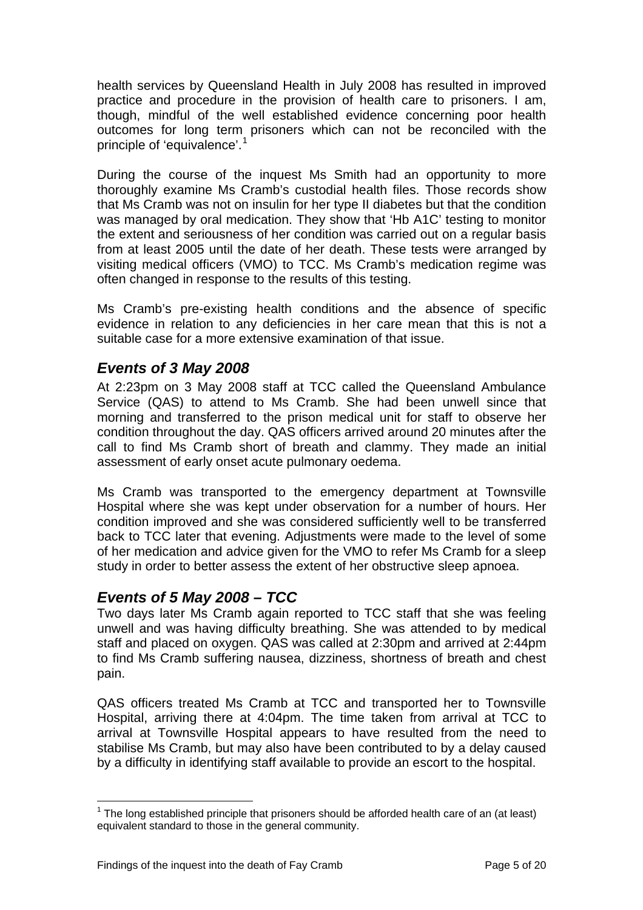<span id="page-6-0"></span>health services by Queensland Health in July 2008 has resulted in improved practice and procedure in the provision of health care to prisoners. I am, though, mindful of the well established evidence concerning poor health outcomes for long term prisoners which can not be reconciled with the principle of 'equivalence'.<sup>[1](#page-6-1)</sup>

During the course of the inquest Ms Smith had an opportunity to more thoroughly examine Ms Cramb's custodial health files. Those records show that Ms Cramb was not on insulin for her type II diabetes but that the condition was managed by oral medication. They show that 'Hb A1C' testing to monitor the extent and seriousness of her condition was carried out on a regular basis from at least 2005 until the date of her death. These tests were arranged by visiting medical officers (VMO) to TCC. Ms Cramb's medication regime was often changed in response to the results of this testing.

Ms Cramb's pre-existing health conditions and the absence of specific evidence in relation to any deficiencies in her care mean that this is not a suitable case for a more extensive examination of that issue.

## *Events of 3 May 2008*

At 2:23pm on 3 May 2008 staff at TCC called the Queensland Ambulance Service (QAS) to attend to Ms Cramb. She had been unwell since that morning and transferred to the prison medical unit for staff to observe her condition throughout the day. QAS officers arrived around 20 minutes after the call to find Ms Cramb short of breath and clammy. They made an initial assessment of early onset acute pulmonary oedema.

Ms Cramb was transported to the emergency department at Townsville Hospital where she was kept under observation for a number of hours. Her condition improved and she was considered sufficiently well to be transferred back to TCC later that evening. Adjustments were made to the level of some of her medication and advice given for the VMO to refer Ms Cramb for a sleep study in order to better assess the extent of her obstructive sleep apnoea.

# *Events of 5 May 2008 – TCC*

Two days later Ms Cramb again reported to TCC staff that she was feeling unwell and was having difficulty breathing. She was attended to by medical staff and placed on oxygen. QAS was called at 2:30pm and arrived at 2:44pm to find Ms Cramb suffering nausea, dizziness, shortness of breath and chest pain.

QAS officers treated Ms Cramb at TCC and transported her to Townsville Hospital, arriving there at 4:04pm. The time taken from arrival at TCC to arrival at Townsville Hospital appears to have resulted from the need to stabilise Ms Cramb, but may also have been contributed to by a delay caused by a difficulty in identifying staff available to provide an escort to the hospital.

<span id="page-6-1"></span>l  $1$  The long established principle that prisoners should be afforded health care of an (at least) equivalent standard to those in the general community.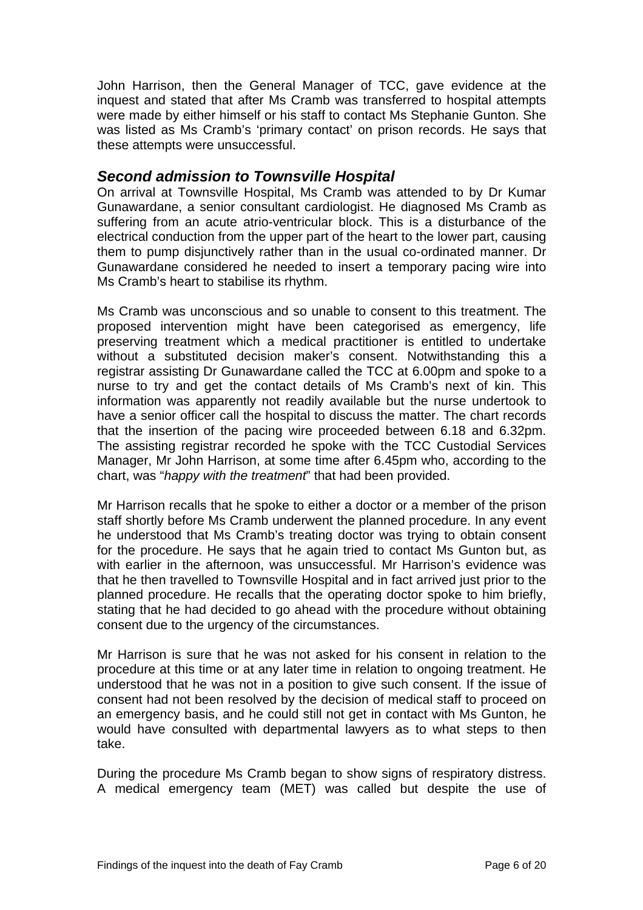<span id="page-7-0"></span>John Harrison, then the General Manager of TCC, gave evidence at the inquest and stated that after Ms Cramb was transferred to hospital attempts were made by either himself or his staff to contact Ms Stephanie Gunton. She was listed as Ms Cramb's 'primary contact' on prison records. He says that these attempts were unsuccessful.

#### *Second admission to Townsville Hospital*

On arrival at Townsville Hospital, Ms Cramb was attended to by Dr Kumar Gunawardane, a senior consultant cardiologist. He diagnosed Ms Cramb as suffering from an acute atrio-ventricular block. This is a disturbance of the electrical conduction from the upper part of the heart to the lower part, causing them to pump disjunctively rather than in the usual co-ordinated manner. Dr Gunawardane considered he needed to insert a temporary pacing wire into Ms Cramb's heart to stabilise its rhythm.

Ms Cramb was unconscious and so unable to consent to this treatment. The proposed intervention might have been categorised as emergency, life preserving treatment which a medical practitioner is entitled to undertake without a substituted decision maker's consent. Notwithstanding this a registrar assisting Dr Gunawardane called the TCC at 6.00pm and spoke to a nurse to try and get the contact details of Ms Cramb's next of kin. This information was apparently not readily available but the nurse undertook to have a senior officer call the hospital to discuss the matter. The chart records that the insertion of the pacing wire proceeded between 6.18 and 6.32pm. The assisting registrar recorded he spoke with the TCC Custodial Services Manager, Mr John Harrison, at some time after 6.45pm who, according to the chart, was "*happy with the treatment*" that had been provided.

Mr Harrison recalls that he spoke to either a doctor or a member of the prison staff shortly before Ms Cramb underwent the planned procedure. In any event he understood that Ms Cramb's treating doctor was trying to obtain consent for the procedure. He says that he again tried to contact Ms Gunton but, as with earlier in the afternoon, was unsuccessful. Mr Harrison's evidence was that he then travelled to Townsville Hospital and in fact arrived just prior to the planned procedure. He recalls that the operating doctor spoke to him briefly, stating that he had decided to go ahead with the procedure without obtaining consent due to the urgency of the circumstances.

Mr Harrison is sure that he was not asked for his consent in relation to the procedure at this time or at any later time in relation to ongoing treatment. He understood that he was not in a position to give such consent. If the issue of consent had not been resolved by the decision of medical staff to proceed on an emergency basis, and he could still not get in contact with Ms Gunton, he would have consulted with departmental lawyers as to what steps to then take.

During the procedure Ms Cramb began to show signs of respiratory distress. A medical emergency team (MET) was called but despite the use of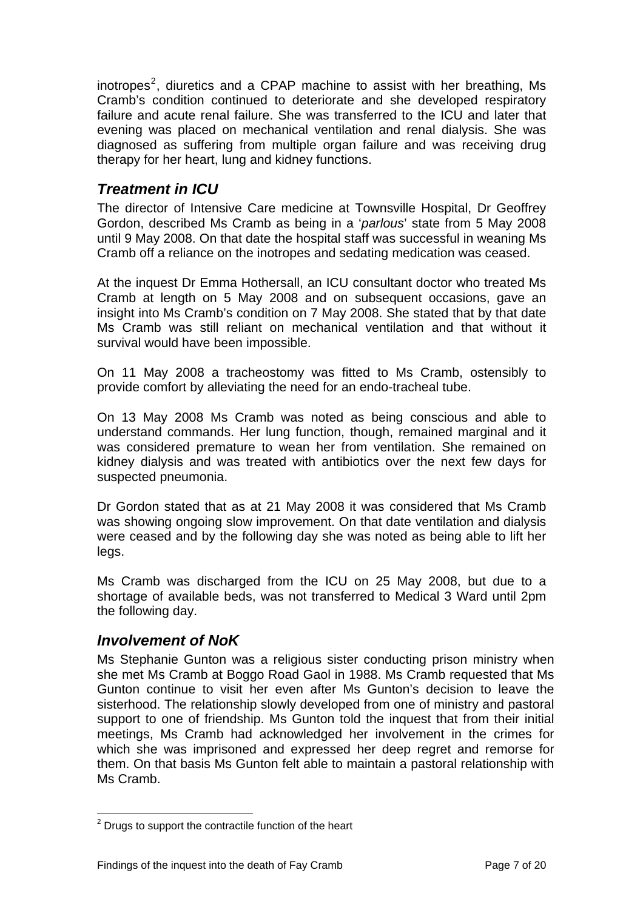<span id="page-8-0"></span>inotropes<sup>[2](#page-8-1)</sup>, diuretics and a CPAP machine to assist with her breathing, Ms Cramb's condition continued to deteriorate and she developed respiratory failure and acute renal failure. She was transferred to the ICU and later that evening was placed on mechanical ventilation and renal dialysis. She was diagnosed as suffering from multiple organ failure and was receiving drug therapy for her heart, lung and kidney functions.

# *Treatment in ICU*

The director of Intensive Care medicine at Townsville Hospital, Dr Geoffrey Gordon, described Ms Cramb as being in a '*parlous*' state from 5 May 2008 until 9 May 2008. On that date the hospital staff was successful in weaning Ms Cramb off a reliance on the inotropes and sedating medication was ceased.

At the inquest Dr Emma Hothersall, an ICU consultant doctor who treated Ms Cramb at length on 5 May 2008 and on subsequent occasions, gave an insight into Ms Cramb's condition on 7 May 2008. She stated that by that date Ms Cramb was still reliant on mechanical ventilation and that without it survival would have been impossible.

On 11 May 2008 a tracheostomy was fitted to Ms Cramb, ostensibly to provide comfort by alleviating the need for an endo-tracheal tube.

On 13 May 2008 Ms Cramb was noted as being conscious and able to understand commands. Her lung function, though, remained marginal and it was considered premature to wean her from ventilation. She remained on kidney dialysis and was treated with antibiotics over the next few days for suspected pneumonia.

Dr Gordon stated that as at 21 May 2008 it was considered that Ms Cramb was showing ongoing slow improvement. On that date ventilation and dialysis were ceased and by the following day she was noted as being able to lift her legs.

Ms Cramb was discharged from the ICU on 25 May 2008, but due to a shortage of available beds, was not transferred to Medical 3 Ward until 2pm the following day.

# *Involvement of NoK*

Ms Stephanie Gunton was a religious sister conducting prison ministry when she met Ms Cramb at Boggo Road Gaol in 1988. Ms Cramb requested that Ms Gunton continue to visit her even after Ms Gunton's decision to leave the sisterhood. The relationship slowly developed from one of ministry and pastoral support to one of friendship. Ms Gunton told the inquest that from their initial meetings, Ms Cramb had acknowledged her involvement in the crimes for which she was imprisoned and expressed her deep regret and remorse for them. On that basis Ms Gunton felt able to maintain a pastoral relationship with Ms Cramb.

<span id="page-8-1"></span>**EXECUTE:**<br><sup>2</sup> Drugs to support the contractile function of the heart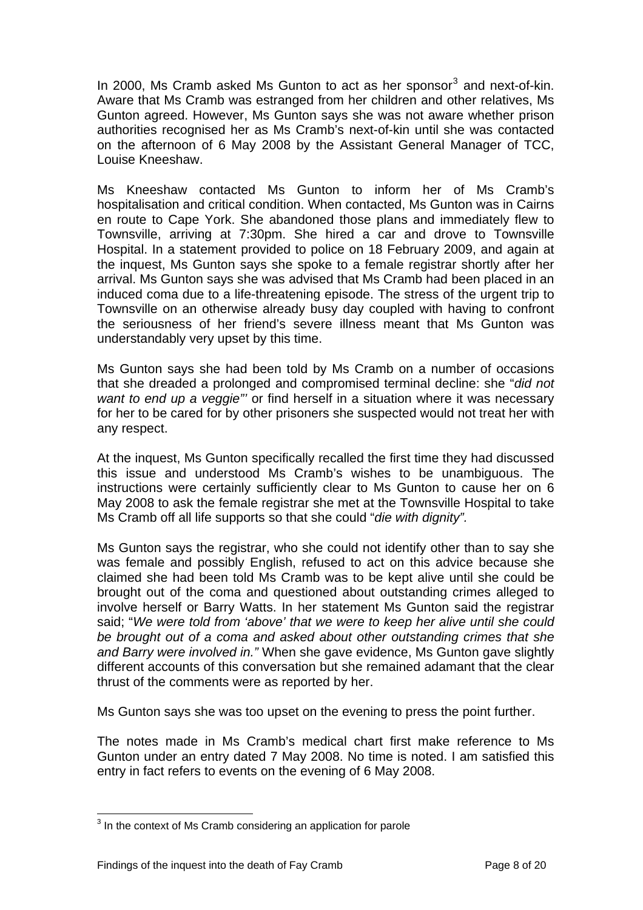In 2000, Ms Cramb asked Ms Gunton to act as her sponsor<sup>[3](#page-9-0)</sup> and next-of-kin. Aware that Ms Cramb was estranged from her children and other relatives, Ms Gunton agreed. However, Ms Gunton says she was not aware whether prison authorities recognised her as Ms Cramb's next-of-kin until she was contacted on the afternoon of 6 May 2008 by the Assistant General Manager of TCC, Louise Kneeshaw.

Ms Kneeshaw contacted Ms Gunton to inform her of Ms Cramb's hospitalisation and critical condition. When contacted, Ms Gunton was in Cairns en route to Cape York. She abandoned those plans and immediately flew to Townsville, arriving at 7:30pm. She hired a car and drove to Townsville Hospital. In a statement provided to police on 18 February 2009, and again at the inquest, Ms Gunton says she spoke to a female registrar shortly after her arrival. Ms Gunton says she was advised that Ms Cramb had been placed in an induced coma due to a life-threatening episode. The stress of the urgent trip to Townsville on an otherwise already busy day coupled with having to confront the seriousness of her friend's severe illness meant that Ms Gunton was understandably very upset by this time.

Ms Gunton says she had been told by Ms Cramb on a number of occasions that she dreaded a prolonged and compromised terminal decline: she "*did not want to end up a veggie"'* or find herself in a situation where it was necessary for her to be cared for by other prisoners she suspected would not treat her with any respect.

At the inquest, Ms Gunton specifically recalled the first time they had discussed this issue and understood Ms Cramb's wishes to be unambiguous. The instructions were certainly sufficiently clear to Ms Gunton to cause her on 6 May 2008 to ask the female registrar she met at the Townsville Hospital to take Ms Cramb off all life supports so that she could "*die with dignity".*

Ms Gunton says the registrar, who she could not identify other than to say she was female and possibly English, refused to act on this advice because she claimed she had been told Ms Cramb was to be kept alive until she could be brought out of the coma and questioned about outstanding crimes alleged to involve herself or Barry Watts. In her statement Ms Gunton said the registrar said; "*We were told from 'above' that we were to keep her alive until she could be brought out of a coma and asked about other outstanding crimes that she and Barry were involved in."* When she gave evidence, Ms Gunton gave slightly different accounts of this conversation but she remained adamant that the clear thrust of the comments were as reported by her.

Ms Gunton says she was too upset on the evening to press the point further.

The notes made in Ms Cramb's medical chart first make reference to Ms Gunton under an entry dated 7 May 2008. No time is noted. I am satisfied this entry in fact refers to events on the evening of 6 May 2008.

l

<span id="page-9-0"></span> $3$  In the context of Ms Cramb considering an application for parole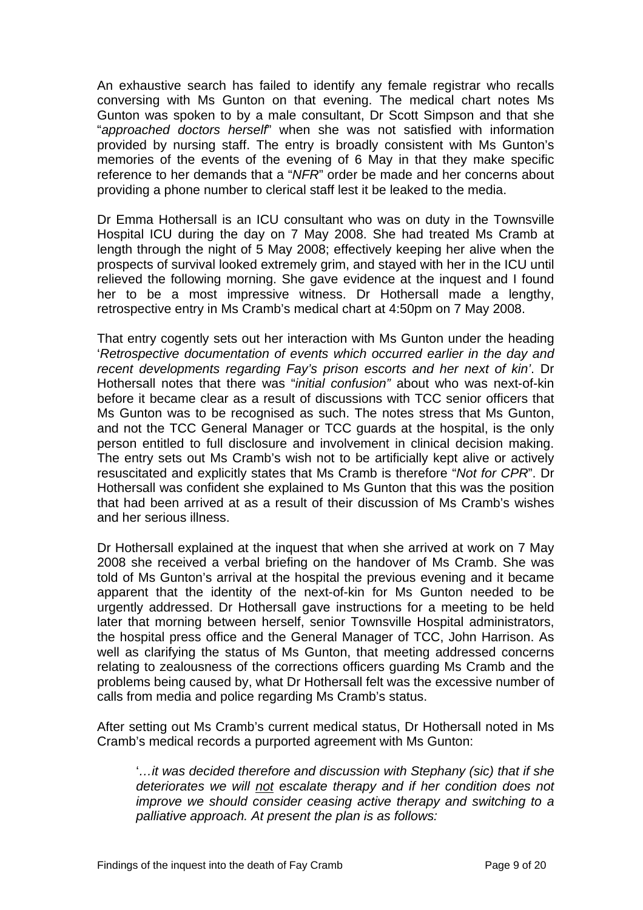An exhaustive search has failed to identify any female registrar who recalls conversing with Ms Gunton on that evening. The medical chart notes Ms Gunton was spoken to by a male consultant, Dr Scott Simpson and that she "*approached doctors herself*" when she was not satisfied with information provided by nursing staff. The entry is broadly consistent with Ms Gunton's memories of the events of the evening of 6 May in that they make specific reference to her demands that a "*NFR*" order be made and her concerns about providing a phone number to clerical staff lest it be leaked to the media.

Dr Emma Hothersall is an ICU consultant who was on duty in the Townsville Hospital ICU during the day on 7 May 2008. She had treated Ms Cramb at length through the night of 5 May 2008; effectively keeping her alive when the prospects of survival looked extremely grim, and stayed with her in the ICU until relieved the following morning. She gave evidence at the inquest and I found her to be a most impressive witness. Dr Hothersall made a lengthy, retrospective entry in Ms Cramb's medical chart at 4:50pm on 7 May 2008.

That entry cogently sets out her interaction with Ms Gunton under the heading '*Retrospective documentation of events which occurred earlier in the day and recent developments regarding Fay's prison escorts and her next of kin'*. Dr Hothersall notes that there was "*initial confusion"* about who was next-of-kin before it became clear as a result of discussions with TCC senior officers that Ms Gunton was to be recognised as such. The notes stress that Ms Gunton, and not the TCC General Manager or TCC guards at the hospital, is the only person entitled to full disclosure and involvement in clinical decision making. The entry sets out Ms Cramb's wish not to be artificially kept alive or actively resuscitated and explicitly states that Ms Cramb is therefore "*Not for CPR*". Dr Hothersall was confident she explained to Ms Gunton that this was the position that had been arrived at as a result of their discussion of Ms Cramb's wishes and her serious illness.

Dr Hothersall explained at the inquest that when she arrived at work on 7 May 2008 she received a verbal briefing on the handover of Ms Cramb. She was told of Ms Gunton's arrival at the hospital the previous evening and it became apparent that the identity of the next-of-kin for Ms Gunton needed to be urgently addressed. Dr Hothersall gave instructions for a meeting to be held later that morning between herself, senior Townsville Hospital administrators, the hospital press office and the General Manager of TCC, John Harrison. As well as clarifying the status of Ms Gunton, that meeting addressed concerns relating to zealousness of the corrections officers guarding Ms Cramb and the problems being caused by, what Dr Hothersall felt was the excessive number of calls from media and police regarding Ms Cramb's status.

After setting out Ms Cramb's current medical status, Dr Hothersall noted in Ms Cramb's medical records a purported agreement with Ms Gunton:

'*…it was decided therefore and discussion with Stephany (sic) that if she deteriorates we will not escalate therapy and if her condition does not improve we should consider ceasing active therapy and switching to a palliative approach. At present the plan is as follows:*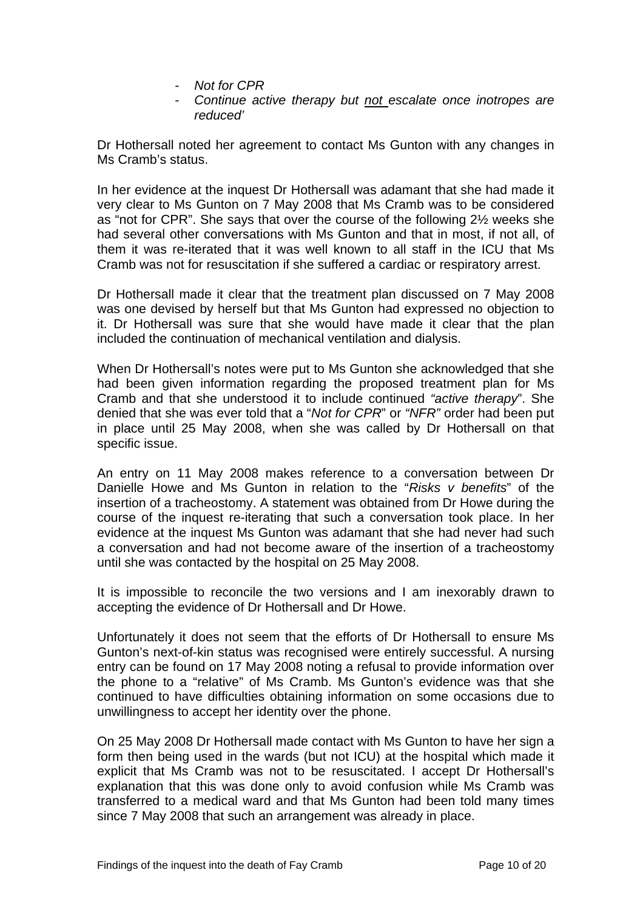- *Not for CPR*
- *Continue active therapy but not escalate once inotropes are reduced'*

Dr Hothersall noted her agreement to contact Ms Gunton with any changes in Ms Cramb's status.

In her evidence at the inquest Dr Hothersall was adamant that she had made it very clear to Ms Gunton on 7 May 2008 that Ms Cramb was to be considered as "not for CPR". She says that over the course of the following 2½ weeks she had several other conversations with Ms Gunton and that in most, if not all, of them it was re-iterated that it was well known to all staff in the ICU that Ms Cramb was not for resuscitation if she suffered a cardiac or respiratory arrest.

Dr Hothersall made it clear that the treatment plan discussed on 7 May 2008 was one devised by herself but that Ms Gunton had expressed no objection to it. Dr Hothersall was sure that she would have made it clear that the plan included the continuation of mechanical ventilation and dialysis.

When Dr Hothersall's notes were put to Ms Gunton she acknowledged that she had been given information regarding the proposed treatment plan for Ms Cramb and that she understood it to include continued *"active therapy*". She denied that she was ever told that a "*Not for CPR*" or *"NFR"* order had been put in place until 25 May 2008, when she was called by Dr Hothersall on that specific issue.

An entry on 11 May 2008 makes reference to a conversation between Dr Danielle Howe and Ms Gunton in relation to the "*Risks v benefits*" of the insertion of a tracheostomy. A statement was obtained from Dr Howe during the course of the inquest re-iterating that such a conversation took place. In her evidence at the inquest Ms Gunton was adamant that she had never had such a conversation and had not become aware of the insertion of a tracheostomy until she was contacted by the hospital on 25 May 2008.

It is impossible to reconcile the two versions and I am inexorably drawn to accepting the evidence of Dr Hothersall and Dr Howe.

Unfortunately it does not seem that the efforts of Dr Hothersall to ensure Ms Gunton's next-of-kin status was recognised were entirely successful. A nursing entry can be found on 17 May 2008 noting a refusal to provide information over the phone to a "relative" of Ms Cramb. Ms Gunton's evidence was that she continued to have difficulties obtaining information on some occasions due to unwillingness to accept her identity over the phone.

On 25 May 2008 Dr Hothersall made contact with Ms Gunton to have her sign a form then being used in the wards (but not ICU) at the hospital which made it explicit that Ms Cramb was not to be resuscitated. I accept Dr Hothersall's explanation that this was done only to avoid confusion while Ms Cramb was transferred to a medical ward and that Ms Gunton had been told many times since 7 May 2008 that such an arrangement was already in place.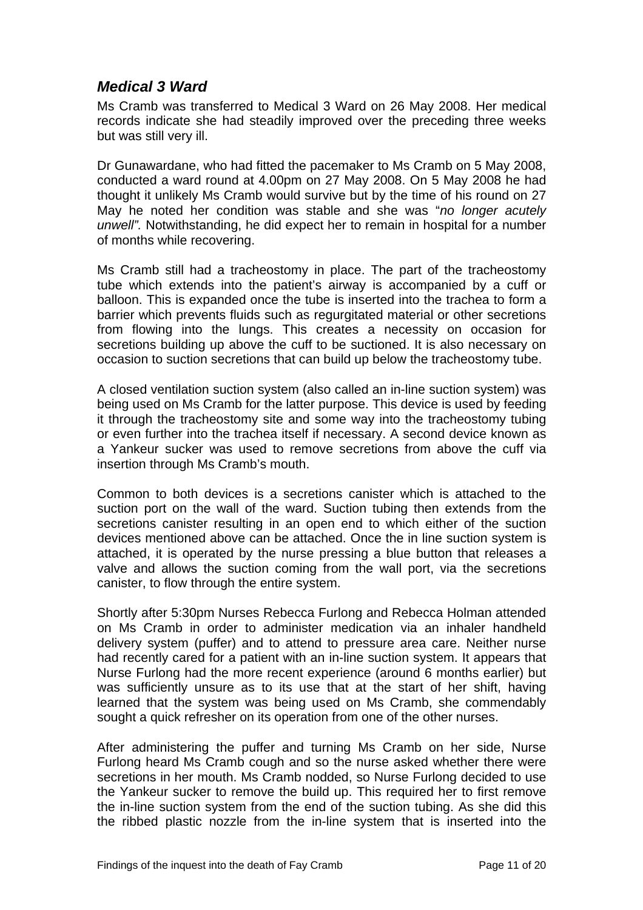## <span id="page-12-0"></span>*Medical 3 Ward*

Ms Cramb was transferred to Medical 3 Ward on 26 May 2008. Her medical records indicate she had steadily improved over the preceding three weeks but was still very ill.

Dr Gunawardane, who had fitted the pacemaker to Ms Cramb on 5 May 2008, conducted a ward round at 4.00pm on 27 May 2008. On 5 May 2008 he had thought it unlikely Ms Cramb would survive but by the time of his round on 27 May he noted her condition was stable and she was "*no longer acutely unwell".* Notwithstanding, he did expect her to remain in hospital for a number of months while recovering.

Ms Cramb still had a tracheostomy in place. The part of the tracheostomy tube which extends into the patient's airway is accompanied by a cuff or balloon. This is expanded once the tube is inserted into the trachea to form a barrier which prevents fluids such as regurgitated material or other secretions from flowing into the lungs. This creates a necessity on occasion for secretions building up above the cuff to be suctioned. It is also necessary on occasion to suction secretions that can build up below the tracheostomy tube.

A closed ventilation suction system (also called an in-line suction system) was being used on Ms Cramb for the latter purpose. This device is used by feeding it through the tracheostomy site and some way into the tracheostomy tubing or even further into the trachea itself if necessary. A second device known as a Yankeur sucker was used to remove secretions from above the cuff via insertion through Ms Cramb's mouth.

Common to both devices is a secretions canister which is attached to the suction port on the wall of the ward. Suction tubing then extends from the secretions canister resulting in an open end to which either of the suction devices mentioned above can be attached. Once the in line suction system is attached, it is operated by the nurse pressing a blue button that releases a valve and allows the suction coming from the wall port, via the secretions canister, to flow through the entire system.

Shortly after 5:30pm Nurses Rebecca Furlong and Rebecca Holman attended on Ms Cramb in order to administer medication via an inhaler handheld delivery system (puffer) and to attend to pressure area care. Neither nurse had recently cared for a patient with an in-line suction system. It appears that Nurse Furlong had the more recent experience (around 6 months earlier) but was sufficiently unsure as to its use that at the start of her shift, having learned that the system was being used on Ms Cramb, she commendably sought a quick refresher on its operation from one of the other nurses.

After administering the puffer and turning Ms Cramb on her side, Nurse Furlong heard Ms Cramb cough and so the nurse asked whether there were secretions in her mouth. Ms Cramb nodded, so Nurse Furlong decided to use the Yankeur sucker to remove the build up. This required her to first remove the in-line suction system from the end of the suction tubing. As she did this the ribbed plastic nozzle from the in-line system that is inserted into the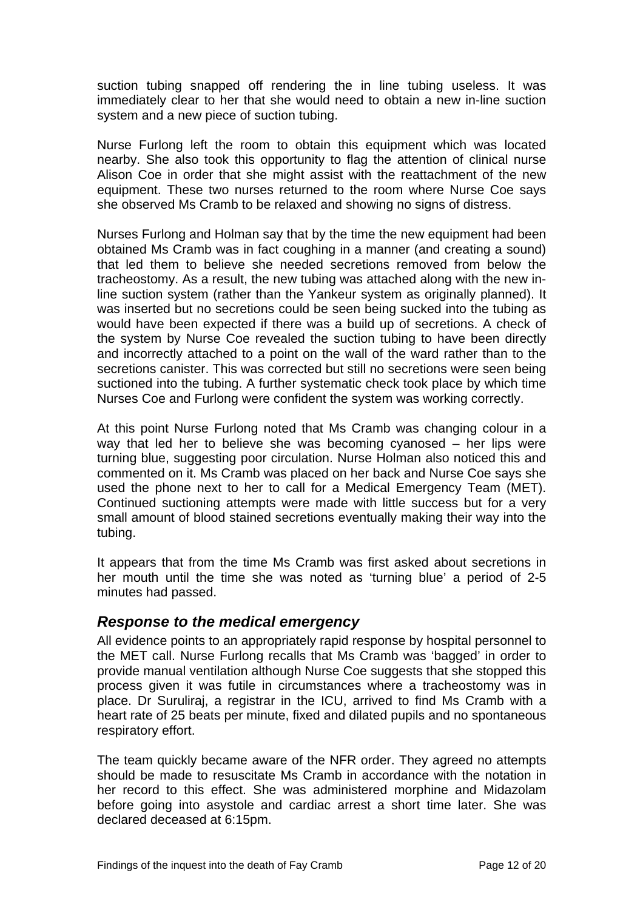<span id="page-13-0"></span>suction tubing snapped off rendering the in line tubing useless. It was immediately clear to her that she would need to obtain a new in-line suction system and a new piece of suction tubing.

Nurse Furlong left the room to obtain this equipment which was located nearby. She also took this opportunity to flag the attention of clinical nurse Alison Coe in order that she might assist with the reattachment of the new equipment. These two nurses returned to the room where Nurse Coe says she observed Ms Cramb to be relaxed and showing no signs of distress.

Nurses Furlong and Holman say that by the time the new equipment had been obtained Ms Cramb was in fact coughing in a manner (and creating a sound) that led them to believe she needed secretions removed from below the tracheostomy. As a result, the new tubing was attached along with the new inline suction system (rather than the Yankeur system as originally planned). It was inserted but no secretions could be seen being sucked into the tubing as would have been expected if there was a build up of secretions. A check of the system by Nurse Coe revealed the suction tubing to have been directly and incorrectly attached to a point on the wall of the ward rather than to the secretions canister. This was corrected but still no secretions were seen being suctioned into the tubing. A further systematic check took place by which time Nurses Coe and Furlong were confident the system was working correctly.

At this point Nurse Furlong noted that Ms Cramb was changing colour in a way that led her to believe she was becoming cyanosed – her lips were turning blue, suggesting poor circulation. Nurse Holman also noticed this and commented on it. Ms Cramb was placed on her back and Nurse Coe says she used the phone next to her to call for a Medical Emergency Team (MET). Continued suctioning attempts were made with little success but for a very small amount of blood stained secretions eventually making their way into the tubing.

It appears that from the time Ms Cramb was first asked about secretions in her mouth until the time she was noted as 'turning blue' a period of 2-5 minutes had passed.

#### *Response to the medical emergency*

All evidence points to an appropriately rapid response by hospital personnel to the MET call. Nurse Furlong recalls that Ms Cramb was 'bagged' in order to provide manual ventilation although Nurse Coe suggests that she stopped this process given it was futile in circumstances where a tracheostomy was in place. Dr Suruliraj, a registrar in the ICU, arrived to find Ms Cramb with a heart rate of 25 beats per minute, fixed and dilated pupils and no spontaneous respiratory effort.

The team quickly became aware of the NFR order. They agreed no attempts should be made to resuscitate Ms Cramb in accordance with the notation in her record to this effect. She was administered morphine and Midazolam before going into asystole and cardiac arrest a short time later. She was declared deceased at 6:15pm.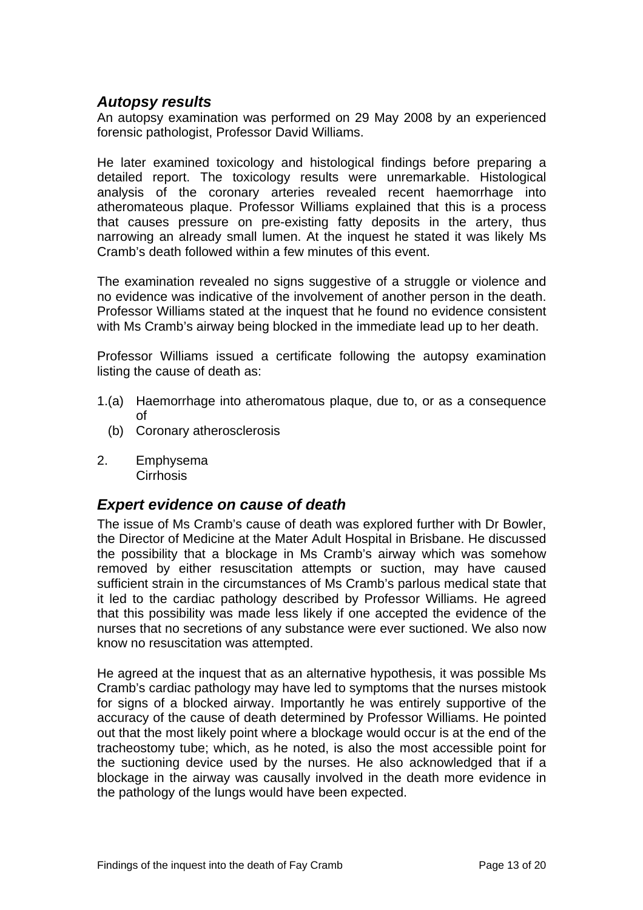#### <span id="page-14-0"></span>*Autopsy results*

An autopsy examination was performed on 29 May 2008 by an experienced forensic pathologist, Professor David Williams.

He later examined toxicology and histological findings before preparing a detailed report. The toxicology results were unremarkable. Histological analysis of the coronary arteries revealed recent haemorrhage into atheromateous plaque. Professor Williams explained that this is a process that causes pressure on pre-existing fatty deposits in the artery, thus narrowing an already small lumen. At the inquest he stated it was likely Ms Cramb's death followed within a few minutes of this event.

The examination revealed no signs suggestive of a struggle or violence and no evidence was indicative of the involvement of another person in the death. Professor Williams stated at the inquest that he found no evidence consistent with Ms Cramb's airway being blocked in the immediate lead up to her death.

Professor Williams issued a certificate following the autopsy examination listing the cause of death as:

- 1.(a) Haemorrhage into atheromatous plaque, due to, or as a consequence of
	- (b) Coronary atherosclerosis
- 2. Emphysema **Cirrhosis**

#### *Expert evidence on cause of death*

The issue of Ms Cramb's cause of death was explored further with Dr Bowler, the Director of Medicine at the Mater Adult Hospital in Brisbane. He discussed the possibility that a blockage in Ms Cramb's airway which was somehow removed by either resuscitation attempts or suction, may have caused sufficient strain in the circumstances of Ms Cramb's parlous medical state that it led to the cardiac pathology described by Professor Williams. He agreed that this possibility was made less likely if one accepted the evidence of the nurses that no secretions of any substance were ever suctioned. We also now know no resuscitation was attempted.

He agreed at the inquest that as an alternative hypothesis, it was possible Ms Cramb's cardiac pathology may have led to symptoms that the nurses mistook for signs of a blocked airway. Importantly he was entirely supportive of the accuracy of the cause of death determined by Professor Williams. He pointed out that the most likely point where a blockage would occur is at the end of the tracheostomy tube; which, as he noted, is also the most accessible point for the suctioning device used by the nurses. He also acknowledged that if a blockage in the airway was causally involved in the death more evidence in the pathology of the lungs would have been expected.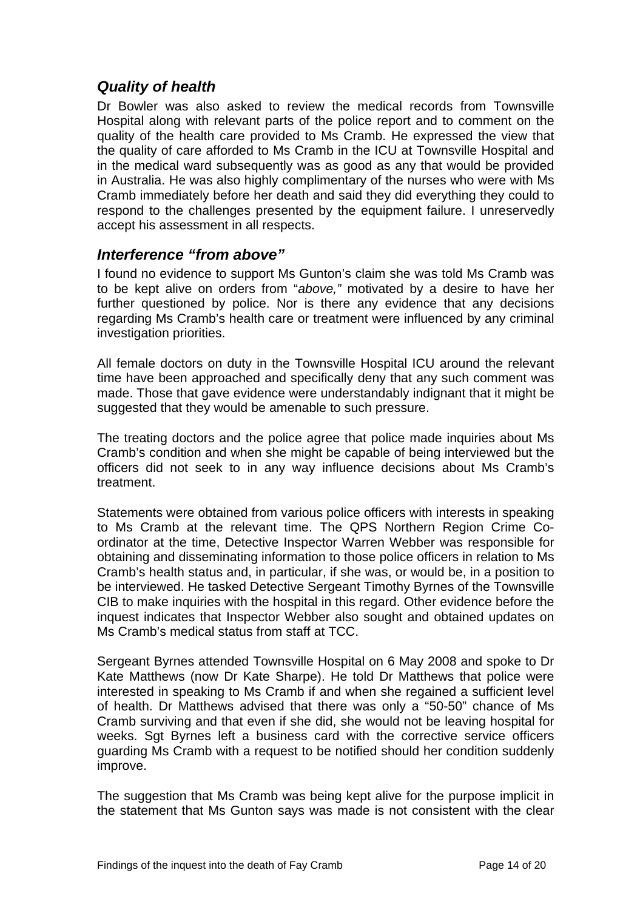## <span id="page-15-0"></span>*Quality of health*

Dr Bowler was also asked to review the medical records from Townsville Hospital along with relevant parts of the police report and to comment on the quality of the health care provided to Ms Cramb. He expressed the view that the quality of care afforded to Ms Cramb in the ICU at Townsville Hospital and in the medical ward subsequently was as good as any that would be provided in Australia. He was also highly complimentary of the nurses who were with Ms Cramb immediately before her death and said they did everything they could to respond to the challenges presented by the equipment failure. I unreservedly accept his assessment in all respects.

#### *Interference "from above"*

I found no evidence to support Ms Gunton's claim she was told Ms Cramb was to be kept alive on orders from "*above,"* motivated by a desire to have her further questioned by police. Nor is there any evidence that any decisions regarding Ms Cramb's health care or treatment were influenced by any criminal investigation priorities.

All female doctors on duty in the Townsville Hospital ICU around the relevant time have been approached and specifically deny that any such comment was made. Those that gave evidence were understandably indignant that it might be suggested that they would be amenable to such pressure.

The treating doctors and the police agree that police made inquiries about Ms Cramb's condition and when she might be capable of being interviewed but the officers did not seek to in any way influence decisions about Ms Cramb's treatment.

Statements were obtained from various police officers with interests in speaking to Ms Cramb at the relevant time. The QPS Northern Region Crime Coordinator at the time, Detective Inspector Warren Webber was responsible for obtaining and disseminating information to those police officers in relation to Ms Cramb's health status and, in particular, if she was, or would be, in a position to be interviewed. He tasked Detective Sergeant Timothy Byrnes of the Townsville CIB to make inquiries with the hospital in this regard. Other evidence before the inquest indicates that Inspector Webber also sought and obtained updates on Ms Cramb's medical status from staff at TCC.

Sergeant Byrnes attended Townsville Hospital on 6 May 2008 and spoke to Dr Kate Matthews (now Dr Kate Sharpe). He told Dr Matthews that police were interested in speaking to Ms Cramb if and when she regained a sufficient level of health. Dr Matthews advised that there was only a "50-50" chance of Ms Cramb surviving and that even if she did, she would not be leaving hospital for weeks. Sqt Byrnes left a business card with the corrective service officers guarding Ms Cramb with a request to be notified should her condition suddenly improve.

The suggestion that Ms Cramb was being kept alive for the purpose implicit in the statement that Ms Gunton says was made is not consistent with the clear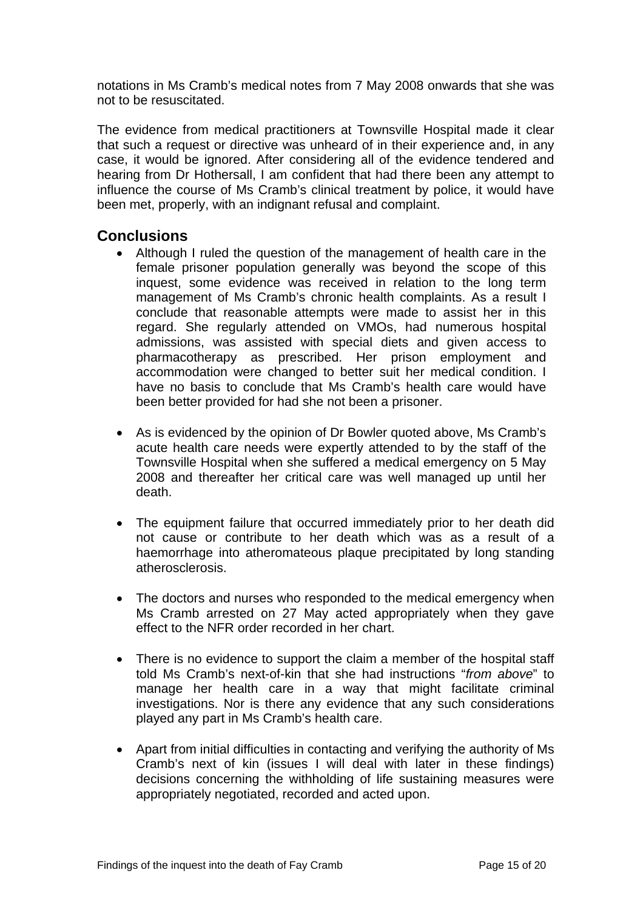<span id="page-16-0"></span>notations in Ms Cramb's medical notes from 7 May 2008 onwards that she was not to be resuscitated.

The evidence from medical practitioners at Townsville Hospital made it clear that such a request or directive was unheard of in their experience and, in any case, it would be ignored. After considering all of the evidence tendered and hearing from Dr Hothersall, I am confident that had there been any attempt to influence the course of Ms Cramb's clinical treatment by police, it would have been met, properly, with an indignant refusal and complaint.

#### **Conclusions**

- Although I ruled the question of the management of health care in the female prisoner population generally was beyond the scope of this inquest, some evidence was received in relation to the long term management of Ms Cramb's chronic health complaints. As a result I conclude that reasonable attempts were made to assist her in this regard. She regularly attended on VMOs, had numerous hospital admissions, was assisted with special diets and given access to pharmacotherapy as prescribed. Her prison employment and accommodation were changed to better suit her medical condition. I have no basis to conclude that Ms Cramb's health care would have been better provided for had she not been a prisoner.
- As is evidenced by the opinion of Dr Bowler quoted above, Ms Cramb's acute health care needs were expertly attended to by the staff of the Townsville Hospital when she suffered a medical emergency on 5 May 2008 and thereafter her critical care was well managed up until her death.
- The equipment failure that occurred immediately prior to her death did not cause or contribute to her death which was as a result of a haemorrhage into atheromateous plaque precipitated by long standing atherosclerosis.
- The doctors and nurses who responded to the medical emergency when Ms Cramb arrested on 27 May acted appropriately when they gave effect to the NFR order recorded in her chart.
- There is no evidence to support the claim a member of the hospital staff told Ms Cramb's next-of-kin that she had instructions "*from above*" to manage her health care in a way that might facilitate criminal investigations. Nor is there any evidence that any such considerations played any part in Ms Cramb's health care.
- Apart from initial difficulties in contacting and verifying the authority of Ms Cramb's next of kin (issues I will deal with later in these findings) decisions concerning the withholding of life sustaining measures were appropriately negotiated, recorded and acted upon.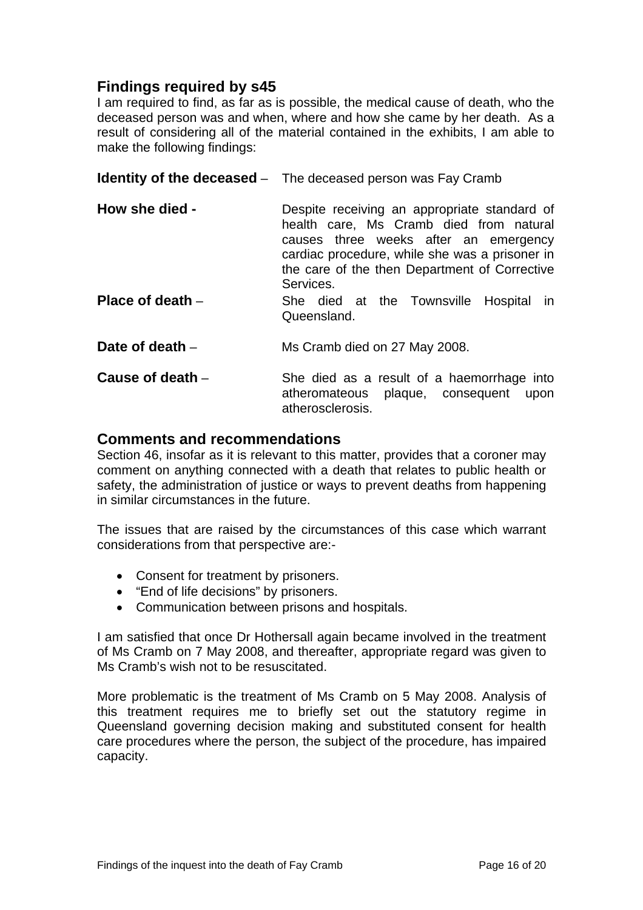# <span id="page-17-0"></span>**Findings required by s45**

I am required to find, as far as is possible, the medical cause of death, who the deceased person was and when, where and how she came by her death. As a result of considering all of the material contained in the exhibits, I am able to make the following findings:

|                    | <b>Identity of the deceased</b> – The deceased person was Fay Cramb                                                                                                                                                                              |
|--------------------|--------------------------------------------------------------------------------------------------------------------------------------------------------------------------------------------------------------------------------------------------|
| How she died -     | Despite receiving an appropriate standard of<br>health care, Ms Cramb died from natural<br>causes three weeks after an emergency<br>cardiac procedure, while she was a prisoner in<br>the care of the then Department of Corrective<br>Services. |
| Place of death $-$ | She died at the Townsville Hospital<br><b>In</b><br>Queensland.                                                                                                                                                                                  |
| Date of death $-$  | Ms Cramb died on 27 May 2008.                                                                                                                                                                                                                    |
| Cause of death $-$ | She died as a result of a haemorrhage into<br>atheromateous plaque, consequent<br>upon<br>atherosclerosis.                                                                                                                                       |

#### **Comments and recommendations**

Section 46, insofar as it is relevant to this matter, provides that a coroner may comment on anything connected with a death that relates to public health or safety, the administration of justice or ways to prevent deaths from happening in similar circumstances in the future.

The issues that are raised by the circumstances of this case which warrant considerations from that perspective are:-

- Consent for treatment by prisoners.
- "End of life decisions" by prisoners.
- Communication between prisons and hospitals.

I am satisfied that once Dr Hothersall again became involved in the treatment of Ms Cramb on 7 May 2008, and thereafter, appropriate regard was given to Ms Cramb's wish not to be resuscitated.

More problematic is the treatment of Ms Cramb on 5 May 2008. Analysis of this treatment requires me to briefly set out the statutory regime in Queensland governing decision making and substituted consent for health care procedures where the person, the subject of the procedure, has impaired capacity.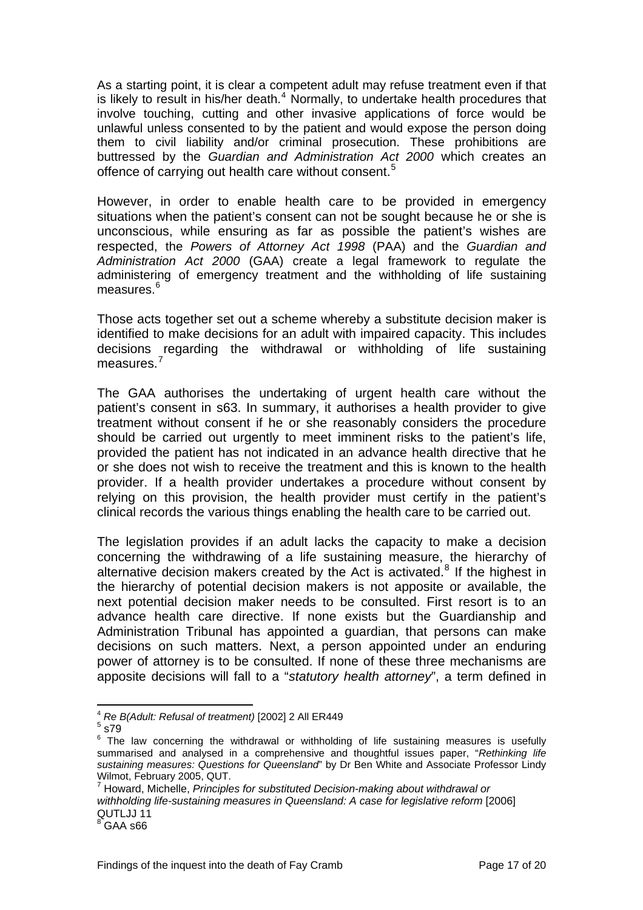As a starting point, it is clear a competent adult may refuse treatment even if that is likely to result in his/her death. $4$  Normally, to undertake health procedures that involve touching, cutting and other invasive applications of force would be unlawful unless consented to by the patient and would expose the person doing them to civil liability and/or criminal prosecution. These prohibitions are buttressed by the *Guardian and Administration Act 2000* which creates an offence of carrying out health care without consent.<sup>[5](#page-18-1)</sup>

However, in order to enable health care to be provided in emergency situations when the patient's consent can not be sought because he or she is unconscious, while ensuring as far as possible the patient's wishes are respected, the *Powers of Attorney Act 1998* (PAA) and the *Guardian and Administration Act 2000* (GAA) create a legal framework to regulate the administering of emergency treatment and the withholding of life sustaining measures.<sup>[6](#page-18-2)</sup>

Those acts together set out a scheme whereby a substitute decision maker is identified to make decisions for an adult with impaired capacity. This includes decisions regarding the withdrawal or withholding of life sustaining measures.[7](#page-18-3)

The GAA authorises the undertaking of urgent health care without the patient's consent in s63. In summary, it authorises a health provider to give treatment without consent if he or she reasonably considers the procedure should be carried out urgently to meet imminent risks to the patient's life, provided the patient has not indicated in an advance health directive that he or she does not wish to receive the treatment and this is known to the health provider. If a health provider undertakes a procedure without consent by relying on this provision, the health provider must certify in the patient's clinical records the various things enabling the health care to be carried out.

The legislation provides if an adult lacks the capacity to make a decision concerning the withdrawing of a life sustaining measure, the hierarchy of alternative decision makers created by the Act is activated. $8$  If the highest in the hierarchy of potential decision makers is not apposite or available, the next potential decision maker needs to be consulted. First resort is to an advance health care directive. If none exists but the Guardianship and Administration Tribunal has appointed a guardian, that persons can make decisions on such matters. Next, a person appointed under an enduring power of attorney is to be consulted. If none of these three mechanisms are apposite decisions will fall to a "*statutory health attorney*", a term defined in

<span id="page-18-0"></span>l <sup>4</sup> *Re B(Adult: Refusal of treatment)* [2002] 2 All ER449 <sup>5</sup>

<span id="page-18-2"></span><span id="page-18-1"></span> $^5$  s79  $\,$ 

 $6$  The law concerning the withdrawal or withholding of life sustaining measures is usefully summarised and analysed in a comprehensive and thoughtful issues paper, "*Rethinking life sustaining measures: Questions for Queensland*" by Dr Ben White and Associate Professor Lindy Wilmot, February 2005, QUT.

<span id="page-18-3"></span><sup>7</sup> Howard, Michelle, *Principles for substituted Decision-making about withdrawal or withholding life-sustaining measures in Queensland: A case for legislative reform* [2006] QUTLJJ 11

<span id="page-18-4"></span> $^8$  GAA s66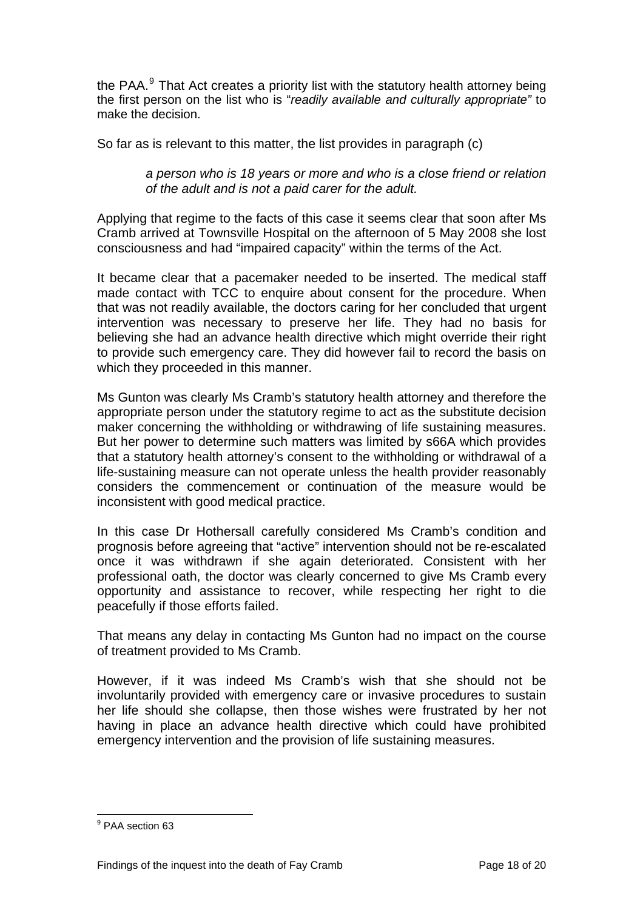the PAA. $^9$  $^9$  That Act creates a priority list with the statutory health attorney being the first person on the list who is "*readily available and culturally appropriate"* to make the decision.

So far as is relevant to this matter, the list provides in paragraph (c)

#### *a person who is 18 years or more and who is a close friend or relation of the adult and is not a paid carer for the adult.*

Applying that regime to the facts of this case it seems clear that soon after Ms Cramb arrived at Townsville Hospital on the afternoon of 5 May 2008 she lost consciousness and had "impaired capacity" within the terms of the Act.

It became clear that a pacemaker needed to be inserted. The medical staff made contact with TCC to enquire about consent for the procedure. When that was not readily available, the doctors caring for her concluded that urgent intervention was necessary to preserve her life. They had no basis for believing she had an advance health directive which might override their right to provide such emergency care. They did however fail to record the basis on which they proceeded in this manner.

Ms Gunton was clearly Ms Cramb's statutory health attorney and therefore the appropriate person under the statutory regime to act as the substitute decision maker concerning the withholding or withdrawing of life sustaining measures. But her power to determine such matters was limited by s66A which provides that a statutory health attorney's consent to the withholding or withdrawal of a life-sustaining measure can not operate unless the health provider reasonably considers the commencement or continuation of the measure would be inconsistent with good medical practice.

In this case Dr Hothersall carefully considered Ms Cramb's condition and prognosis before agreeing that "active" intervention should not be re-escalated once it was withdrawn if she again deteriorated. Consistent with her professional oath, the doctor was clearly concerned to give Ms Cramb every opportunity and assistance to recover, while respecting her right to die peacefully if those efforts failed.

That means any delay in contacting Ms Gunton had no impact on the course of treatment provided to Ms Cramb.

However, if it was indeed Ms Cramb's wish that she should not be involuntarily provided with emergency care or invasive procedures to sustain her life should she collapse, then those wishes were frustrated by her not having in place an advance health directive which could have prohibited emergency intervention and the provision of life sustaining measures.

<span id="page-19-0"></span> 9 PAA section 63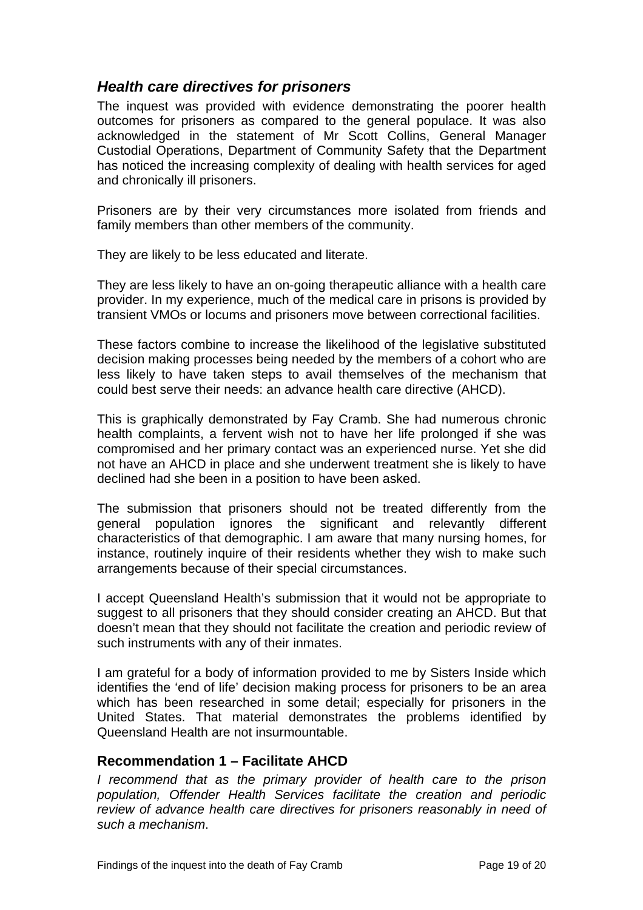## <span id="page-20-0"></span>*Health care directives for prisoners*

The inquest was provided with evidence demonstrating the poorer health outcomes for prisoners as compared to the general populace. It was also acknowledged in the statement of Mr Scott Collins, General Manager Custodial Operations, Department of Community Safety that the Department has noticed the increasing complexity of dealing with health services for aged and chronically ill prisoners.

Prisoners are by their very circumstances more isolated from friends and family members than other members of the community.

They are likely to be less educated and literate.

They are less likely to have an on-going therapeutic alliance with a health care provider. In my experience, much of the medical care in prisons is provided by transient VMOs or locums and prisoners move between correctional facilities.

These factors combine to increase the likelihood of the legislative substituted decision making processes being needed by the members of a cohort who are less likely to have taken steps to avail themselves of the mechanism that could best serve their needs: an advance health care directive (AHCD).

This is graphically demonstrated by Fay Cramb. She had numerous chronic health complaints, a fervent wish not to have her life prolonged if she was compromised and her primary contact was an experienced nurse. Yet she did not have an AHCD in place and she underwent treatment she is likely to have declined had she been in a position to have been asked.

The submission that prisoners should not be treated differently from the general population ignores the significant and relevantly different characteristics of that demographic. I am aware that many nursing homes, for instance, routinely inquire of their residents whether they wish to make such arrangements because of their special circumstances.

I accept Queensland Health's submission that it would not be appropriate to suggest to all prisoners that they should consider creating an AHCD. But that doesn't mean that they should not facilitate the creation and periodic review of such instruments with any of their inmates.

I am grateful for a body of information provided to me by Sisters Inside which identifies the 'end of life' decision making process for prisoners to be an area which has been researched in some detail; especially for prisoners in the United States. That material demonstrates the problems identified by Queensland Health are not insurmountable.

#### **Recommendation 1 – Facilitate AHCD**

*I recommend that as the primary provider of health care to the prison population, Offender Health Services facilitate the creation and periodic review of advance health care directives for prisoners reasonably in need of such a mechanism*.